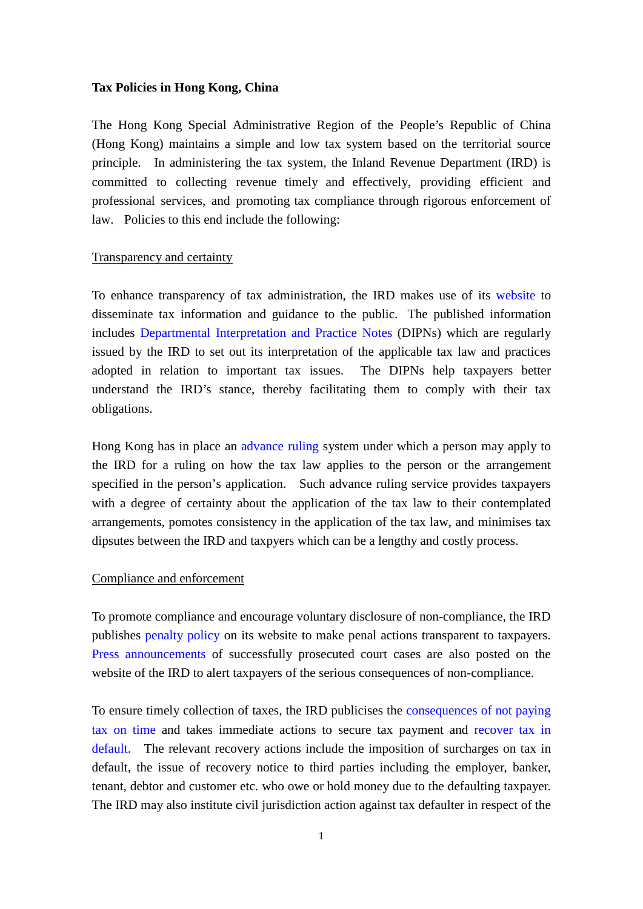### **Tax Policies in Hong Kong, China**

The Hong Kong Special Administrative Region of the People's Republic of China (Hong Kong) maintains a simple and low tax system based on the territorial source principle. In administering the tax system, the Inland Revenue Department (IRD) is committed to collecting revenue timely and effectively, providing efficient and professional services, and promoting tax compliance through rigorous enforcement of law. Policies to this end include the following:

### Transparency and certainty

To enhance transparency of tax administration, the IRD makes use of its [website](https://www.ird.gov.hk/) to disseminate tax information and guidance to the public. The published information includes [Departmental Interpretation and Practice Notes](https://www.ird.gov.hk/eng/ppr/dip.htm) (DIPNs) which are regularly issued by the IRD to set out its interpretation of the applicable tax law and practices adopted in relation to important tax issues. The DIPNs help taxpayers better understand the IRD's stance, thereby facilitating them to comply with their tax obligations.

Hong Kong has in place an [advance ruling](https://www.ird.gov.hk/eng/pol/aru.htm) system under which a person may apply to the IRD for a ruling on how the tax law applies to the person or the arrangement specified in the person's application. Such advance ruling service provides taxpayers with a degree of certainty about the application of the tax law to their contemplated arrangements, pomotes consistency in the application of the tax law, and minimises tax dipsutes between the IRD and taxpyers which can be a lengthy and costly process.

## Compliance and enforcement

To promote compliance and encourage voluntary disclosure of non-compliance, the IRD publishes [penalty policy](https://www.ird.gov.hk/eng/pol/ppo.htm) on its website to make penal actions transparent to taxpayers. [Press announcements](https://www.ird.gov.hk/eng/ppr/pca.htm) of successfully prosecuted court cases are also posted on the website of the IRD to alert taxpayers of the serious consequences of non-compliance.

To ensure timely collection of taxes, the IRD publicises the [consequences of not paying](https://www.gov.hk/en/residents/taxes/taxfiling/consequences/consequencenotpaytax.htm)  [tax on time](https://www.gov.hk/en/residents/taxes/taxfiling/consequences/consequencenotpaytax.htm) and takes immediate actions to secure tax payment and [recover tax](https://www.gov.hk/en/residents/taxes/taxfiling/consequences/recovertax.htm) in [default.](https://www.gov.hk/en/residents/taxes/taxfiling/consequences/recovertax.htm) The relevant recovery actions include the imposition of surcharges on tax in default, the issue of recovery notice to third parties including the employer, banker, tenant, debtor and customer etc. who owe or hold money due to the defaulting taxpayer. The IRD may also institute civil jurisdiction action against tax defaulter in respect of the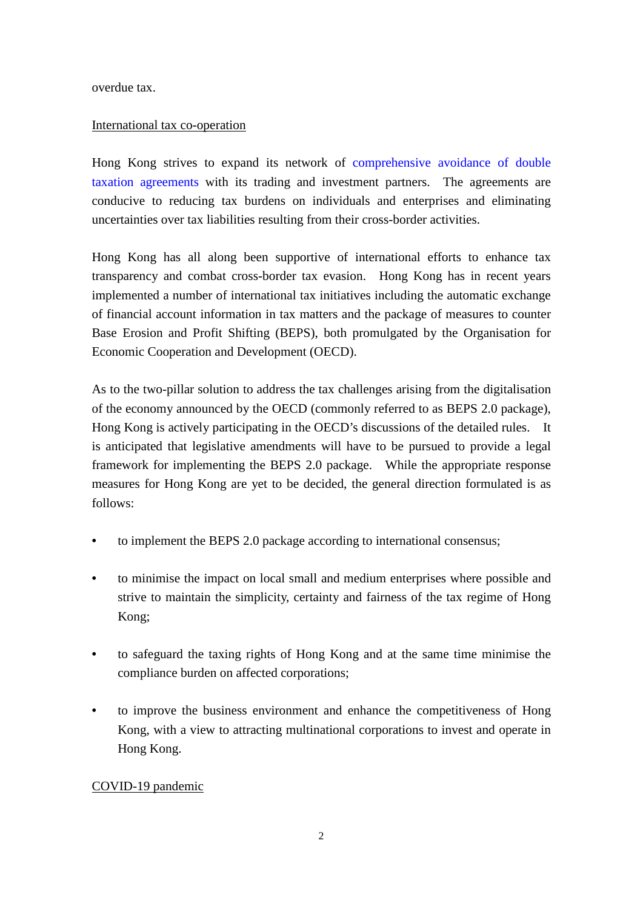overdue tax.

# International tax co-operation

Hong Kong strives to expand its network of [comprehensive avoidance of double](https://www.ird.gov.hk/eng/tax/dta_cdta.htm)  [taxation agreements](https://www.ird.gov.hk/eng/tax/dta_cdta.htm) with its trading and investment partners. The agreements are conducive to reducing tax burdens on individuals and enterprises and eliminating uncertainties over tax liabilities resulting from their cross-border activities.

Hong Kong has all along been supportive of international efforts to enhance tax transparency and combat cross-border tax evasion. Hong Kong has in recent years implemented a number of international tax initiatives including the automatic exchange of financial account information in tax matters and the package of measures to counter Base Erosion and Profit Shifting (BEPS), both promulgated by the Organisation for Economic Cooperation and Development (OECD).

As to the two-pillar solution to address the tax challenges arising from the digitalisation of the economy announced by the OECD (commonly referred to as BEPS 2.0 package), Hong Kong is actively participating in the OECD's discussions of the detailed rules. It is anticipated that legislative amendments will have to be pursued to provide a legal framework for implementing the BEPS 2.0 package. While the appropriate response measures for Hong Kong are yet to be decided, the general direction formulated is as follows:

- to implement the BEPS 2.0 package according to international consensus;
- to minimise the impact on local small and medium enterprises where possible and strive to maintain the simplicity, certainty and fairness of the tax regime of Hong Kong;
- to safeguard the taxing rights of Hong Kong and at the same time minimise the compliance burden on affected corporations;
- to improve the business environment and enhance the competitiveness of Hong Kong, with a view to attracting multinational corporations to invest and operate in Hong Kong.

# COVID-19 pandemic